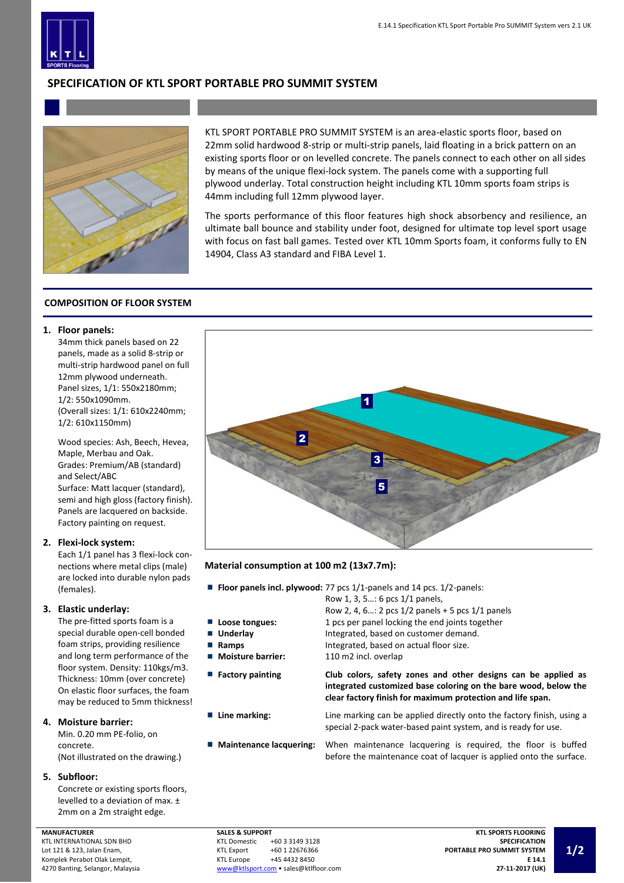

# **SPECIFICATION OF KTL SPORT PORTABLE PRO SUMMIT SYSTEM**



KTL SPORT PORTABLE PRO SUMMIT SYSTEM is an area-elastic sports floor, based on 22mm solid hardwood 8-strip or multi-strip panels, laid floating in a brick pattern on an existing sports floor or on levelled concrete. The panels connect to each other on all sides by means of the unique flexi-lock system. The panels come with a supporting full plywood underlay. Total construction height including KTL 10mm sports foam strips is 44mm including full 12mm plywood layer.

The sports performance of this floor features high shock absorbency and resilience, an ultimate ball bounce and stability under foot, designed for ultimate top level sport usage with focus on fast ball games. Tested over KTL 10mm Sports foam, it conforms fully to EN 14904, Class A3 standard and FIBA Level 1.

## **COMPOSITION OF FLOOR SYSTEM**

## **1. Floor panels:**

34mm thick panels based on 22 panels, made as a solid 8-strip or multi-strip hardwood panel on full 12mm plywood underneath. Panel sizes, 1/1: 550x2180mm; 1/2: 550x1090mm. (Overall sizes: 1/1: 610x2240mm; 1/2: 610x1150mm)

Wood species: Ash, Beech, Hevea, Maple, Merbau and Oak. Grades: Premium/AB (standard) and Select/ABC Surface: Matt lacquer (standard), semi and high gloss (factory finish). Panels are lacquered on backside.

Factory painting on request.

## **2. Flexi-lock system:**

Each 1/1 panel has 3 flexi-lock connections where metal clips (male) are locked into durable nylon pads (females).

## **3. Elastic underlay:**

The pre-fitted sports foam is a special durable open-cell bonded foam strips, providing resilience and long term performance of the floor system. Density: 110kgs/m3. Thickness: 10mm (over concrete) On elastic floor surfaces, the foam may be reduced to 5mm thickness!

## **4. Moisture barrier:**

Min. 0.20 mm PE-folio, on concrete. (Not illustrated on the drawing.)

## **5. Subfloor:**

Concrete or existing sports floors, levelled to a deviation of max. ± 2mm on a 2m straight edge.

### **MANUFACTURER**

KTL INTERNATIONAL SDN BHD Lot 121 & 123, Jalan Enam, Komplek Perabot Olak Lempit, 4270 Banting, Selangor, Malaysia



## **Material consumption at 100 m2 (13x7.7m):**

- **Floor panels incl. plywood:** 77 pcs 1/1-panels and 14 pcs. 1/2-panels:
	-
- 
- 
- Moisture barrier: 110 m2 incl. overlap
- 

Row 2, 4, 6…: 2 pcs 1/2 panels + 5 pcs 1/1 panels **Loose tongues:** 1 pcs per panel locking the end joints together ■ **Underlay** Integrated, based on customer demand. ■ **Ramps Integrated, based on actual floor size.** 

Row 1, 3, 5…: 6 pcs 1/1 panels,

**Factory painting Club colors, safety zones and other designs can be applied as integrated customized base coloring on the bare wood, below the clear factory finish for maximum protection and life span.** 

**Line marking:** Line marking can be applied directly onto the factory finish, using a special 2-pack water-based paint system, and is ready for use.

**Maintenance lacquering:** When maintenance lacquering is required, the floor is buffed before the maintenance coat of lacquer is applied onto the surface.